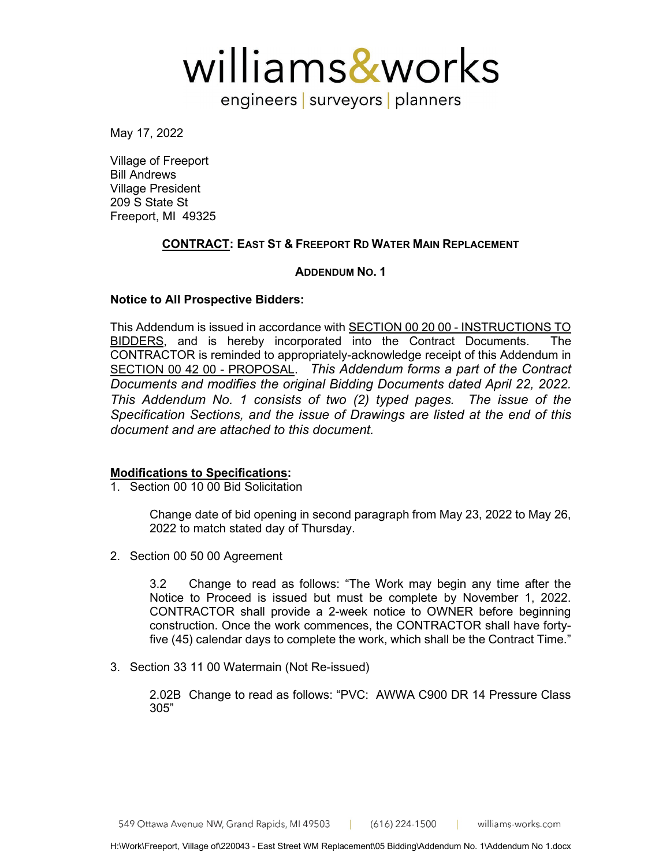williams&works

engineers | surveyors | planners

May 17, 2022

Village of Freeport Bill Andrews Village President 209 S State St Freeport, MI 49325

# **CONTRACT: EAST ST & FREEPORT RD WATER MAIN REPLACEMENT**

# **ADDENDUM NO. 1**

## **Notice to All Prospective Bidders:**

This Addendum is issued in accordance with SECTION 00 20 00 - INSTRUCTIONS TO BIDDERS, and is hereby incorporated into the Contract Documents. The CONTRACTOR is reminded to appropriately-acknowledge receipt of this Addendum in SECTION 00 42 00 - PROPOSAL. *This Addendum forms a part of the Contract Documents and modifies the original Bidding Documents dated April 22, 2022. This Addendum No. 1 consists of two (2) typed pages. The issue of the Specification Sections, and the issue of Drawings are listed at the end of this document and are attached to this document.*

# **Modifications to Specifications:**

1. Section 00 10 00 Bid Solicitation

Change date of bid opening in second paragraph from May 23, 2022 to May 26, 2022 to match stated day of Thursday.

2. Section 00 50 00 Agreement

3.2 Change to read as follows: "The Work may begin any time after the Notice to Proceed is issued but must be complete by November 1, 2022. CONTRACTOR shall provide a 2-week notice to OWNER before beginning construction. Once the work commences, the CONTRACTOR shall have fortyfive (45) calendar days to complete the work, which shall be the Contract Time."

3. Section 33 11 00 Watermain (Not Re-issued)

2.02B Change to read as follows: "PVC: AWWA C900 DR 14 Pressure Class 305"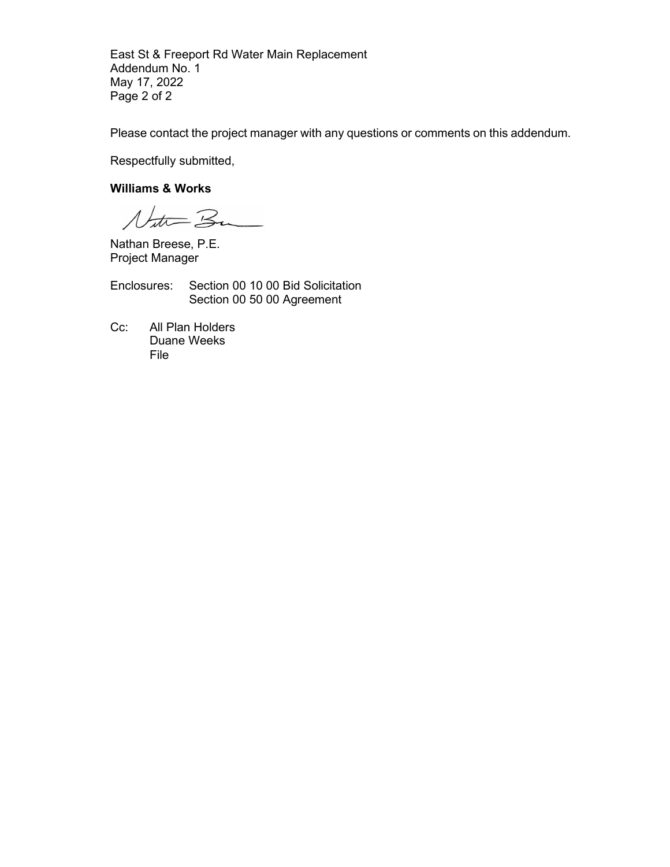East St & Freeport Rd Water Main Replacement Addendum No. 1 May 17, 2022 Page 2 of 2

Please contact the project manager with any questions or comments on this addendum.

Respectfully submitted,

# **Williams & Works**

Natur Ba

Nathan Breese, P.E. Project Manager

Enclosures: Section 00 10 00 Bid Solicitation Section 00 50 00 Agreement

Cc: All Plan Holders Duane Weeks File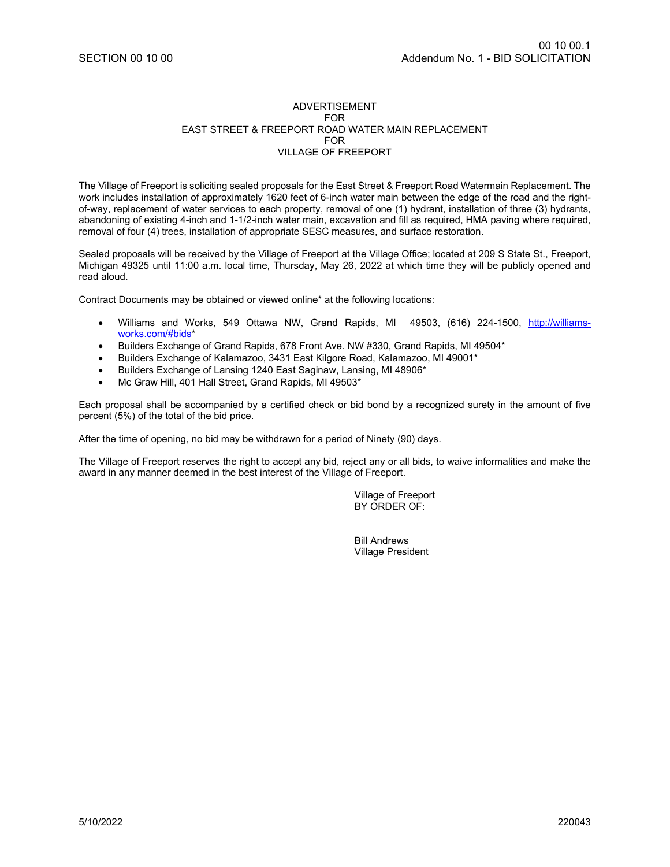#### ADVERTISEMENT FOR EAST STREET & FREEPORT ROAD WATER MAIN REPLACEMENT FOR VILLAGE OF FREEPORT

The Village of Freeport is soliciting sealed proposals for the East Street & Freeport Road Watermain Replacement. The work includes installation of approximately 1620 feet of 6-inch water main between the edge of the road and the rightof-way, replacement of water services to each property, removal of one (1) hydrant, installation of three (3) hydrants, abandoning of existing 4-inch and 1-1/2-inch water main, excavation and fill as required, HMA paving where required, removal of four (4) trees, installation of appropriate SESC measures, and surface restoration.

Sealed proposals will be received by the Village of Freeport at the Village Office; located at 209 S State St., Freeport, Michigan 49325 until 11:00 a.m. local time, Thursday, May 26, 2022 at which time they will be publicly opened and read aloud.

Contract Documents may be obtained or viewed online\* at the following locations:

- Williams and Works, 549 Ottawa NW, Grand Rapids, MI 49503, (616) 224-1500, [http://williams](http://williams-works.com/#bids)[works.com/#bids\\*](http://williams-works.com/#bids)
- Builders Exchange of Grand Rapids, 678 Front Ave. NW #330, Grand Rapids, MI 49504\*
- Builders Exchange of Kalamazoo, 3431 East Kilgore Road, Kalamazoo, MI 49001\*
- Builders Exchange of Lansing 1240 East Saginaw, Lansing, MI 48906\*
- Mc Graw Hill, 401 Hall Street, Grand Rapids, MI 49503\*

Each proposal shall be accompanied by a certified check or bid bond by a recognized surety in the amount of five percent (5%) of the total of the bid price.

After the time of opening, no bid may be withdrawn for a period of Ninety (90) days.

The Village of Freeport reserves the right to accept any bid, reject any or all bids, to waive informalities and make the award in any manner deemed in the best interest of the Village of Freeport.

> Village of Freeport BY ORDER OF:

Bill Andrews Village President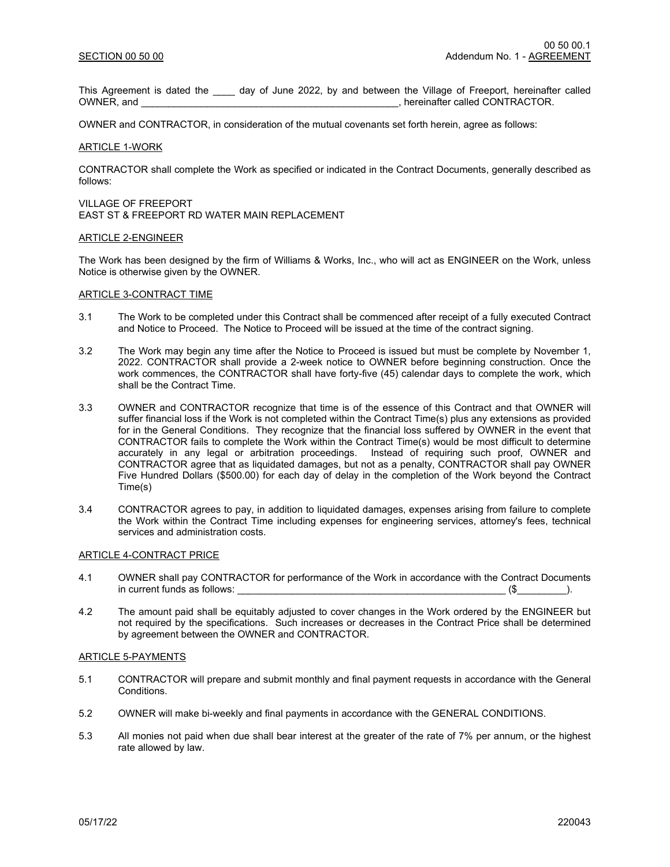This Agreement is dated the \_\_\_\_ day of June 2022, by and between the Village of Freeport, hereinafter called OWNER, and<br>
, hereinafter called CONTRACTOR. . hereinafter called CONTRACTOR.

OWNER and CONTRACTOR, in consideration of the mutual covenants set forth herein, agree as follows:

#### ARTICLE 1-WORK

CONTRACTOR shall complete the Work as specified or indicated in the Contract Documents, generally described as follows:

VILLAGE OF FREEPORT EAST ST & FREEPORT RD WATER MAIN REPLACEMENT

#### ARTICLE 2-ENGINEER

The Work has been designed by the firm of Williams & Works, Inc., who will act as ENGINEER on the Work, unless Notice is otherwise given by the OWNER.

## ARTICLE 3-CONTRACT TIME

- 3.1 The Work to be completed under this Contract shall be commenced after receipt of a fully executed Contract and Notice to Proceed. The Notice to Proceed will be issued at the time of the contract signing.
- 3.2 The Work may begin any time after the Notice to Proceed is issued but must be complete by November 1, 2022. CONTRACTOR shall provide a 2-week notice to OWNER before beginning construction. Once the work commences, the CONTRACTOR shall have forty-five (45) calendar days to complete the work, which shall be the Contract Time.
- 3.3 OWNER and CONTRACTOR recognize that time is of the essence of this Contract and that OWNER will suffer financial loss if the Work is not completed within the Contract Time(s) plus any extensions as provided for in the General Conditions. They recognize that the financial loss suffered by OWNER in the event that CONTRACTOR fails to complete the Work within the Contract Time(s) would be most difficult to determine accurately in any legal or arbitration proceedings. Instead of requiring such proof, OWNER and CONTRACTOR agree that as liquidated damages, but not as a penalty, CONTRACTOR shall pay OWNER Five Hundred Dollars (\$500.00) for each day of delay in the completion of the Work beyond the Contract Time(s)
- 3.4 CONTRACTOR agrees to pay, in addition to liquidated damages, expenses arising from failure to complete the Work within the Contract Time including expenses for engineering services, attorney's fees, technical services and administration costs.

#### ARTICLE 4-CONTRACT PRICE

- 4.1 OWNER shall pay CONTRACTOR for performance of the Work in accordance with the Contract Documents in current funds as follows:  $(\$$
- 4.2 The amount paid shall be equitably adjusted to cover changes in the Work ordered by the ENGINEER but not required by the specifications. Such increases or decreases in the Contract Price shall be determined by agreement between the OWNER and CONTRACTOR.

## ARTICLE 5-PAYMENTS

- 5.1 CONTRACTOR will prepare and submit monthly and final payment requests in accordance with the General Conditions.
- 5.2 OWNER will make bi-weekly and final payments in accordance with the GENERAL CONDITIONS.
- 5.3 All monies not paid when due shall bear interest at the greater of the rate of 7% per annum, or the highest rate allowed by law.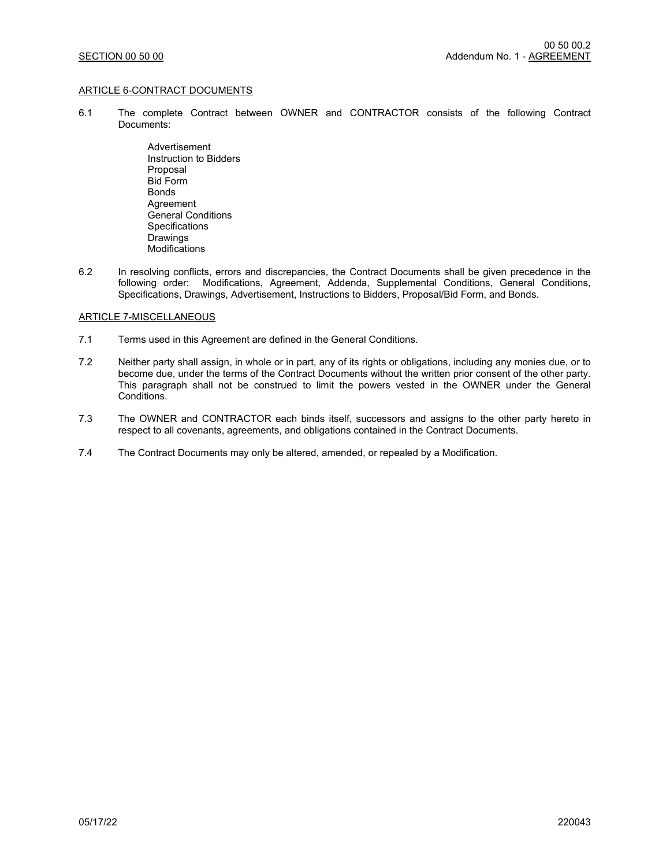## ARTICLE 6-CONTRACT DOCUMENTS

- 6.1 The complete Contract between OWNER and CONTRACTOR consists of the following Contract Documents:
	- Advertisement Instruction to Bidders Proposal Bid Form Bonds **Agreement** General Conditions **Specifications Drawings Modifications**
- 6.2 In resolving conflicts, errors and discrepancies, the Contract Documents shall be given precedence in the following order: Modifications, Agreement, Addenda, Supplemental Conditions, General Conditions, Specifications, Drawings, Advertisement, Instructions to Bidders, Proposal/Bid Form, and Bonds.

### ARTICLE 7-MISCELLANEOUS

- 7.1 Terms used in this Agreement are defined in the General Conditions.
- 7.2 Neither party shall assign, in whole or in part, any of its rights or obligations, including any monies due, or to become due, under the terms of the Contract Documents without the written prior consent of the other party. This paragraph shall not be construed to limit the powers vested in the OWNER under the General Conditions.
- 7.3 The OWNER and CONTRACTOR each binds itself, successors and assigns to the other party hereto in respect to all covenants, agreements, and obligations contained in the Contract Documents.
- 7.4 The Contract Documents may only be altered, amended, or repealed by a Modification.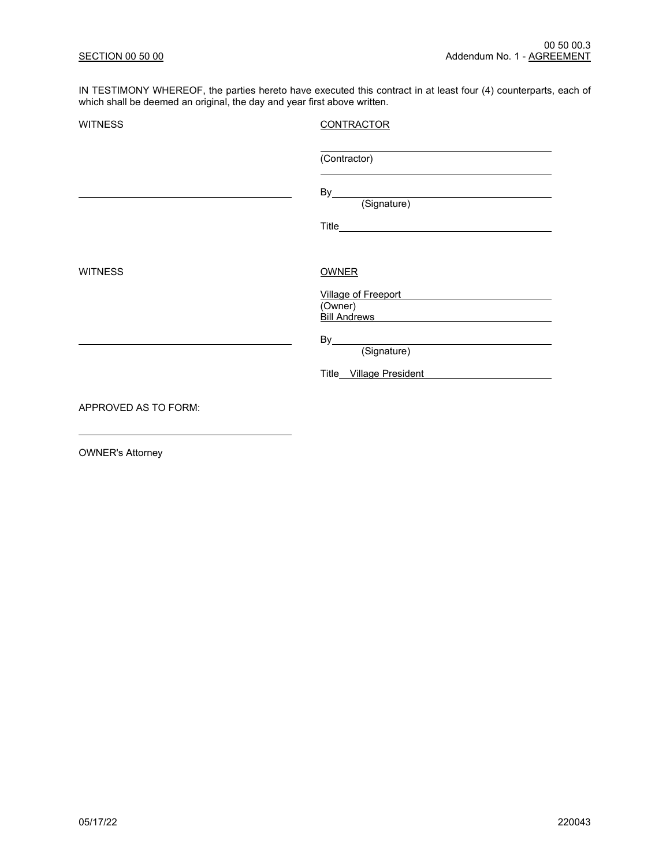IN TESTIMONY WHEREOF, the parties hereto have executed this contract in at least four (4) counterparts, each of which shall be deemed an original, the day and year first above written.

| <b>CONTRACTOR</b>                                                  |
|--------------------------------------------------------------------|
| (Contractor)                                                       |
| By<br>(Signature)                                                  |
|                                                                    |
| <b>OWNER</b>                                                       |
| Village of Freeport<br>(Owner)<br><b>Bill Andrews Example 2014</b> |
| (Signature)                                                        |
| Title_Village President                                            |
|                                                                    |
|                                                                    |

OWNER's Attorney